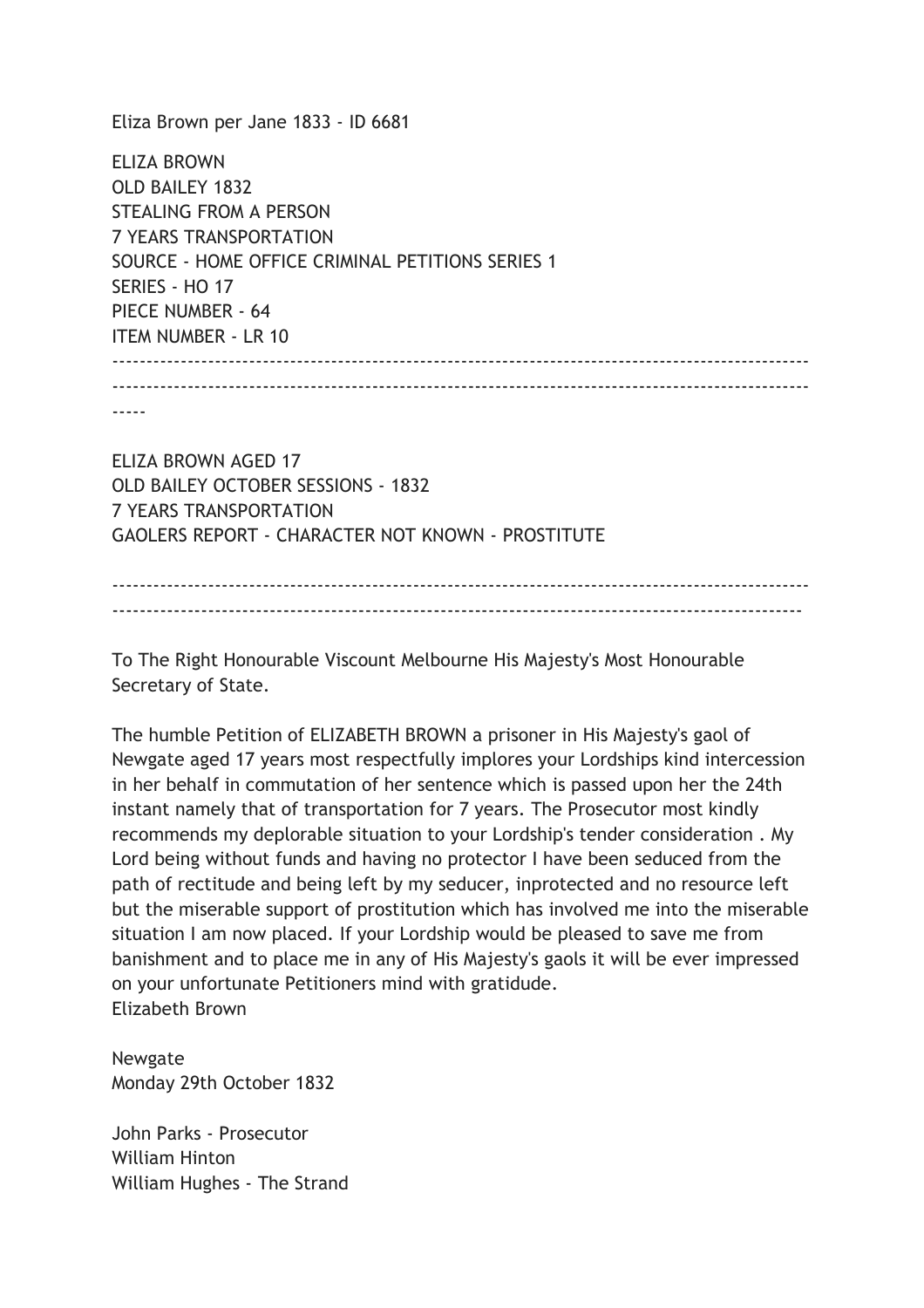Eliza Brown per Jane 1833 - ID 6681

ELIZA BROWN OLD BAILEY 1832 STEALING FROM A PERSON 7 YEARS TRANSPORTATION SOURCE - HOME OFFICE CRIMINAL PETITIONS SERIES 1 SERIES - HO 17 PIECE NUMBER - 64 ITEM NUMBER - LR 10 ------------------------------------------------------------------------------------------------------ ------------------------------------------------------------------------------------------------------ -----

ELIZA BROWN AGED 17 OLD BAILEY OCTOBER SESSIONS - 1832 7 YEARS TRANSPORTATION GAOLERS REPORT - CHARACTER NOT KNOWN - PROSTITUTE

------------------------------------------------------------------------------------------------------ -----------------------------------------------------------------------------------------------------

To The Right Honourable Viscount Melbourne His Majesty's Most Honourable Secretary of State.

The humble Petition of ELIZABETH BROWN a prisoner in His Majesty's gaol of Newgate aged 17 years most respectfully implores your Lordships kind intercession in her behalf in commutation of her sentence which is passed upon her the 24th instant namely that of transportation for 7 years. The Prosecutor most kindly recommends my deplorable situation to your Lordship's tender consideration . My Lord being without funds and having no protector I have been seduced from the path of rectitude and being left by my seducer, inprotected and no resource left but the miserable support of prostitution which has involved me into the miserable situation I am now placed. If your Lordship would be pleased to save me from banishment and to place me in any of His Majesty's gaols it will be ever impressed on your unfortunate Petitioners mind with gratidude. Elizabeth Brown

Newgate Monday 29th October 1832

John Parks - Prosecutor William Hinton William Hughes - The Strand